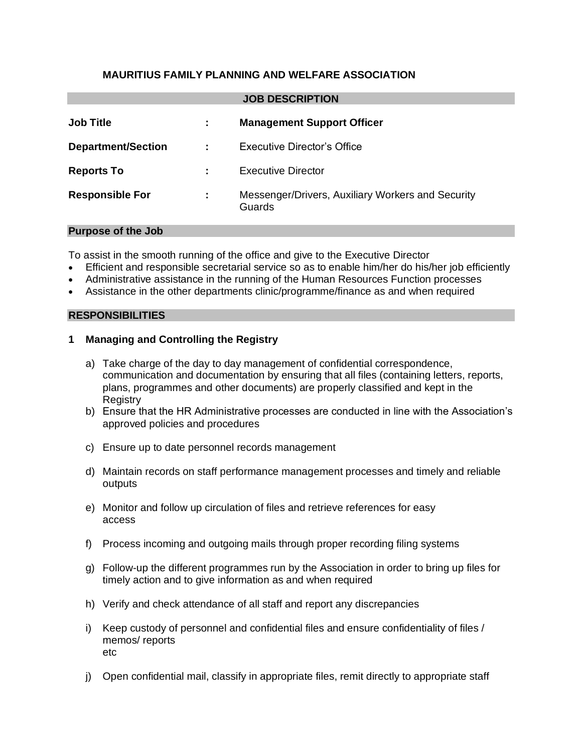### **MAURITIUS FAMILY PLANNING AND WELFARE ASSOCIATION**

| <b>JOB DESCRIPTION</b> |  |
|------------------------|--|
|------------------------|--|

| <b>Job Title</b>          | ÷                         | <b>Management Support Officer</b>                           |
|---------------------------|---------------------------|-------------------------------------------------------------|
| <b>Department/Section</b> | $\mathbb{Z}^{\mathbb{Z}}$ | Executive Director's Office                                 |
| <b>Reports To</b>         |                           | <b>Executive Director</b>                                   |
| <b>Responsible For</b>    | ÷                         | Messenger/Drivers, Auxiliary Workers and Security<br>Guards |

#### **Purpose of the Job**

To assist in the smooth running of the office and give to the Executive Director

- Efficient and responsible secretarial service so as to enable him/her do his/her job efficiently
- Administrative assistance in the running of the Human Resources Function processes
- Assistance in the other departments clinic/programme/finance as and when required

#### **RESPONSIBILITIES**

#### **1 Managing and Controlling the Registry**

- a) Take charge of the day to day management of confidential correspondence, communication and documentation by ensuring that all files (containing letters, reports, plans, programmes and other documents) are properly classified and kept in the **Registry**
- b) Ensure that the HR Administrative processes are conducted in line with the Association's approved policies and procedures
- c) Ensure up to date personnel records management
- d) Maintain records on staff performance management processes and timely and reliable outputs
- e) Monitor and follow up circulation of files and retrieve references for easy access
- f) Process incoming and outgoing mails through proper recording filing systems
- g) Follow-up the different programmes run by the Association in order to bring up files for timely action and to give information as and when required
- h) Verify and check attendance of all staff and report any discrepancies
- i) Keep custody of personnel and confidential files and ensure confidentiality of files / memos/ reports etc
- j) Open confidential mail, classify in appropriate files, remit directly to appropriate staff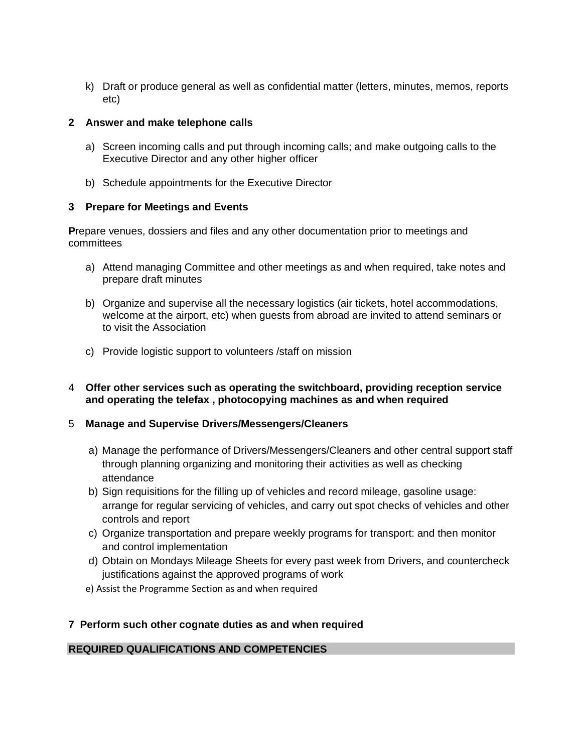k) Draft or produce general as well as confidential matter (letters, minutes, memos, reports etc)

### **2 Answer and make telephone calls**

- a) Screen incoming calls and put through incoming calls; and make outgoing calls to the Executive Director and any other higher officer
- b) Schedule appointments for the Executive Director

## **3 Prepare for Meetings and Events**

**P**repare venues, dossiers and files and any other documentation prior to meetings and committees

- a) Attend managing Committee and other meetings as and when required, take notes and prepare draft minutes
- b) Organize and supervise all the necessary logistics (air tickets, hotel accommodations, welcome at the airport, etc) when guests from abroad are invited to attend seminars or to visit the Association
- c) Provide logistic support to volunteers /staff on mission
- 4 **Offer other services such as operating the switchboard, providing reception service and operating the telefax , photocopying machines as and when required**

### 5 **Manage and Supervise Drivers/Messengers/Cleaners**

- a) Manage the performance of Drivers/Messengers/Cleaners and other central support staff through planning organizing and monitoring their activities as well as checking attendance
- b) Sign requisitions for the filling up of vehicles and record mileage, gasoline usage: arrange for regular servicing of vehicles, and carry out spot checks of vehicles and other controls and report
- c) Organize transportation and prepare weekly programs for transport: and then monitor and control implementation
- d) Obtain on Mondays Mileage Sheets for every past week from Drivers, and countercheck justifications against the approved programs of work
- e) Assist the Programme Section as and when required

# **7 Perform such other cognate duties as and when required**

# **REQUIRED QUALIFICATIONS AND COMPETENCIES**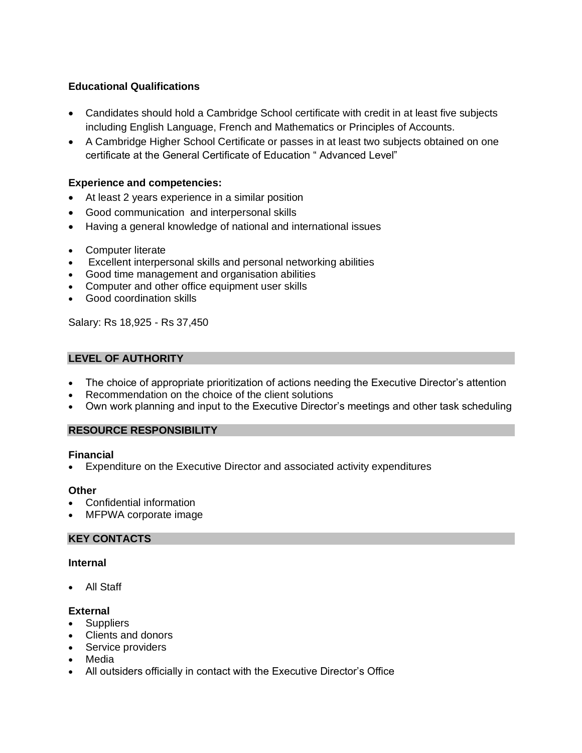## **Educational Qualifications**

- Candidates should hold a Cambridge School certificate with credit in at least five subjects including English Language, French and Mathematics or Principles of Accounts.
- A Cambridge Higher School Certificate or passes in at least two subjects obtained on one certificate at the General Certificate of Education " Advanced Level"

### **Experience and competencies:**

- At least 2 years experience in a similar position
- Good communication and interpersonal skills
- Having a general knowledge of national and international issues
- Computer literate
- Excellent interpersonal skills and personal networking abilities
- Good time management and organisation abilities
- Computer and other office equipment user skills
- Good coordination skills

Salary: Rs 18,925 - Rs 37,450

### **LEVEL OF AUTHORITY**

- The choice of appropriate prioritization of actions needing the Executive Director's attention
- Recommendation on the choice of the client solutions
- Own work planning and input to the Executive Director's meetings and other task scheduling

### **RESOURCE RESPONSIBILITY**

#### **Financial**

• Expenditure on the Executive Director and associated activity expenditures

#### **Other**

- Confidential information
- MFPWA corporate image

### **KEY CONTACTS**

#### **Internal**

• All Staff

### **External**

- Suppliers
- Clients and donors
- Service providers
- Media
- All outsiders officially in contact with the Executive Director's Office